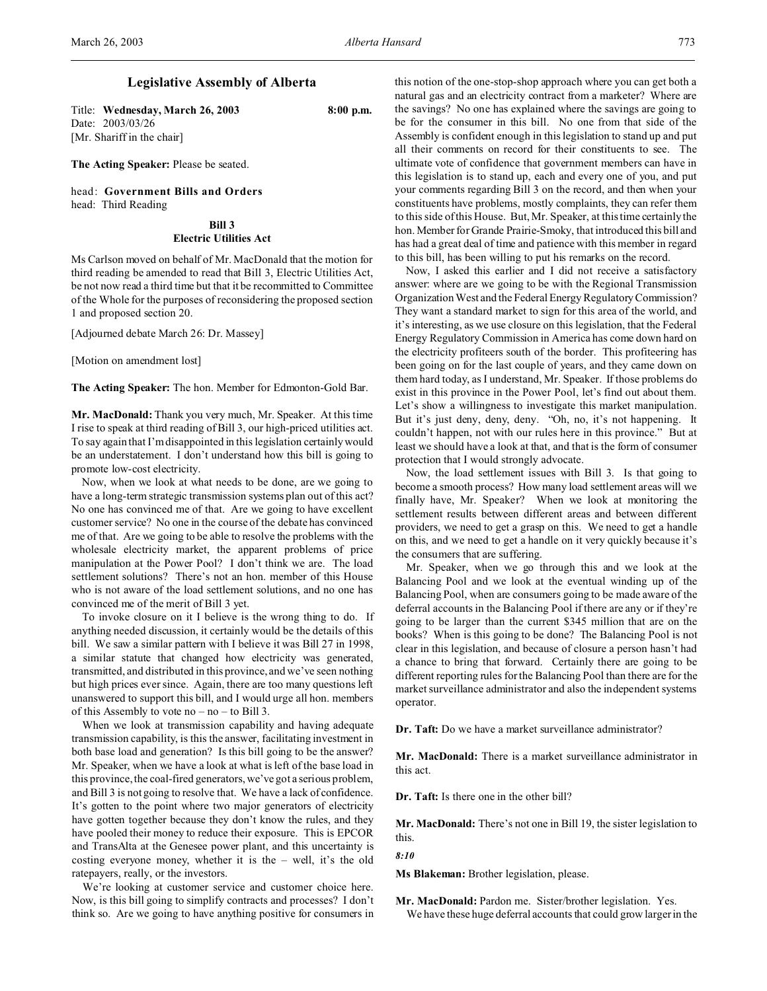# **Legislative Assembly of Alberta**

Title: **Wednesday, March 26, 2003 8:00 p.m.** Date: 2003/03/26 [Mr. Shariff in the chair]

**The Acting Speaker:** Please be seated.

head: **Government Bills and Orders** head: Third Reading

# **Bill 3 Electric Utilities Act**

Ms Carlson moved on behalf of Mr. MacDonald that the motion for third reading be amended to read that Bill 3, Electric Utilities Act, be not now read a third time but that it be recommitted to Committee of the Whole for the purposes of reconsidering the proposed section 1 and proposed section 20.

[Adjourned debate March 26: Dr. Massey]

[Motion on amendment lost]

**The Acting Speaker:** The hon. Member for Edmonton-Gold Bar.

**Mr. MacDonald:** Thank you very much, Mr. Speaker. At this time I rise to speak at third reading of Bill 3, our high-priced utilities act. To say again that I'm disappointed in this legislation certainly would be an understatement. I don't understand how this bill is going to promote low-cost electricity.

Now, when we look at what needs to be done, are we going to have a long-term strategic transmission systems plan out of this act? No one has convinced me of that. Are we going to have excellent customer service? No one in the course of the debate has convinced me of that. Are we going to be able to resolve the problems with the wholesale electricity market, the apparent problems of price manipulation at the Power Pool? I don't think we are. The load settlement solutions? There's not an hon. member of this House who is not aware of the load settlement solutions, and no one has convinced me of the merit of Bill 3 yet.

To invoke closure on it I believe is the wrong thing to do. If anything needed discussion, it certainly would be the details of this bill. We saw a similar pattern with I believe it was Bill 27 in 1998, a similar statute that changed how electricity was generated, transmitted, and distributed in this province, and we've seen nothing but high prices ever since. Again, there are too many questions left unanswered to support this bill, and I would urge all hon. members of this Assembly to vote no – no – to Bill 3.

When we look at transmission capability and having adequate transmission capability, is this the answer, facilitating investment in both base load and generation? Is this bill going to be the answer? Mr. Speaker, when we have a look at what is left of the base load in this province, the coal-fired generators, we've got a serious problem, and Bill 3 is not going to resolve that. We have a lack of confidence. It's gotten to the point where two major generators of electricity have gotten together because they don't know the rules, and they have pooled their money to reduce their exposure. This is EPCOR and TransAlta at the Genesee power plant, and this uncertainty is costing everyone money, whether it is the – well, it's the old ratepayers, really, or the investors.

We're looking at customer service and customer choice here. Now, is this bill going to simplify contracts and processes? I don't think so. Are we going to have anything positive for consumers in

this notion of the one-stop-shop approach where you can get both a natural gas and an electricity contract from a marketer? Where are the savings? No one has explained where the savings are going to be for the consumer in this bill. No one from that side of the Assembly is confident enough in this legislation to stand up and put all their comments on record for their constituents to see. The ultimate vote of confidence that government members can have in this legislation is to stand up, each and every one of you, and put your comments regarding Bill 3 on the record, and then when your constituents have problems, mostly complaints, they can refer them to this side of this House. But, Mr. Speaker, at this time certainly the hon. Member for Grande Prairie-Smoky, that introduced this bill and has had a great deal of time and patience with this member in regard to this bill, has been willing to put his remarks on the record.

Now, I asked this earlier and I did not receive a satisfactory answer: where are we going to be with the Regional Transmission Organization West and the Federal Energy Regulatory Commission? They want a standard market to sign for this area of the world, and it's interesting, as we use closure on this legislation, that the Federal Energy Regulatory Commission in America has come down hard on the electricity profiteers south of the border. This profiteering has been going on for the last couple of years, and they came down on them hard today, as I understand, Mr. Speaker. If those problems do exist in this province in the Power Pool, let's find out about them. Let's show a willingness to investigate this market manipulation. But it's just deny, deny, deny. "Oh, no, it's not happening. It couldn't happen, not with our rules here in this province." But at least we should have a look at that, and that is the form of consumer protection that I would strongly advocate.

Now, the load settlement issues with Bill 3. Is that going to become a smooth process? How many load settlement areas will we finally have, Mr. Speaker? When we look at monitoring the settlement results between different areas and between different providers, we need to get a grasp on this. We need to get a handle on this, and we need to get a handle on it very quickly because it's the consumers that are suffering.

Mr. Speaker, when we go through this and we look at the Balancing Pool and we look at the eventual winding up of the Balancing Pool, when are consumers going to be made aware of the deferral accounts in the Balancing Pool if there are any or if they're going to be larger than the current \$345 million that are on the books? When is this going to be done? The Balancing Pool is not clear in this legislation, and because of closure a person hasn't had a chance to bring that forward. Certainly there are going to be different reporting rules for the Balancing Pool than there are for the market surveillance administrator and also the independent systems operator.

**Dr. Taft:** Do we have a market surveillance administrator?

**Mr. MacDonald:** There is a market surveillance administrator in this act.

**Dr. Taft:** Is there one in the other bill?

**Mr. MacDonald:** There's not one in Bill 19, the sister legislation to this.

#### *8:10*

**Ms Blakeman:** Brother legislation, please.

**Mr. MacDonald:** Pardon me. Sister/brother legislation. Yes. We have these huge deferral accounts that could grow larger in the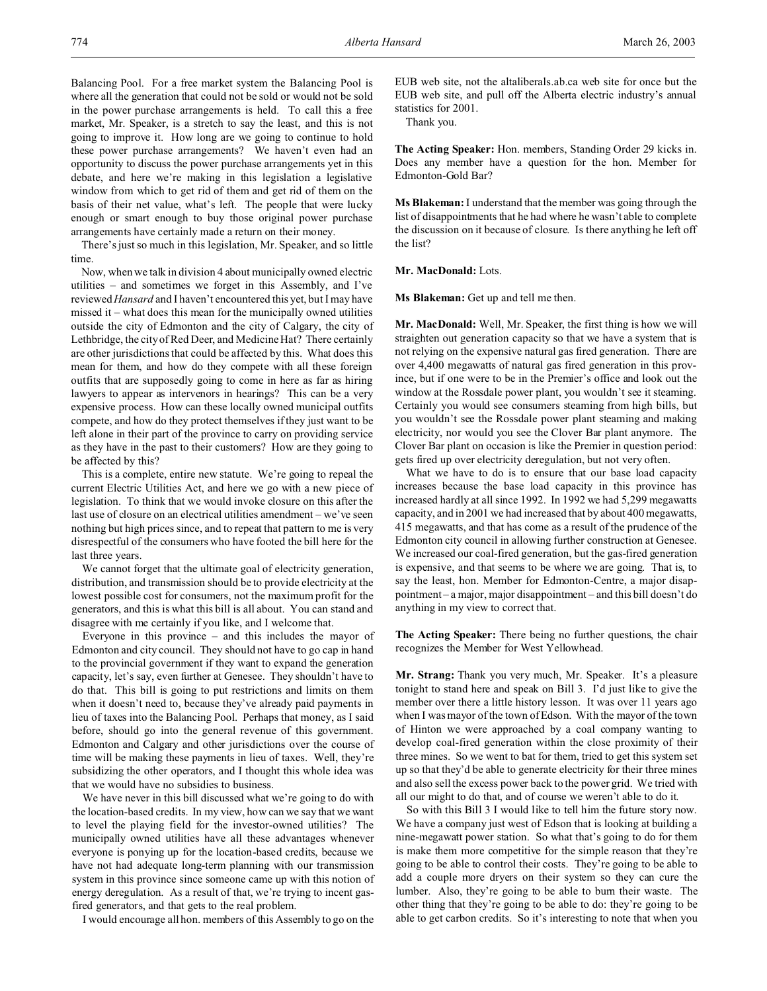Balancing Pool. For a free market system the Balancing Pool is where all the generation that could not be sold or would not be sold in the power purchase arrangements is held. To call this a free market, Mr. Speaker, is a stretch to say the least, and this is not going to improve it. How long are we going to continue to hold these power purchase arrangements? We haven't even had an opportunity to discuss the power purchase arrangements yet in this debate, and here we're making in this legislation a legislative window from which to get rid of them and get rid of them on the basis of their net value, what's left. The people that were lucky enough or smart enough to buy those original power purchase arrangements have certainly made a return on their money.

There's just so much in this legislation, Mr. Speaker, and so little time.

Now, when we talk in division 4 about municipally owned electric utilities – and sometimes we forget in this Assembly, and I've reviewed*Hansard* and I haven't encountered this yet, but I may have missed it – what does this mean for the municipally owned utilities outside the city of Edmonton and the city of Calgary, the city of Lethbridge, the city of Red Deer, and Medicine Hat? There certainly are other jurisdictions that could be affected by this. What does this mean for them, and how do they compete with all these foreign outfits that are supposedly going to come in here as far as hiring lawyers to appear as intervenors in hearings? This can be a very expensive process. How can these locally owned municipal outfits compete, and how do they protect themselves if they just want to be left alone in their part of the province to carry on providing service as they have in the past to their customers? How are they going to be affected by this?

This is a complete, entire new statute. We're going to repeal the current Electric Utilities Act, and here we go with a new piece of legislation. To think that we would invoke closure on this after the last use of closure on an electrical utilities amendment – we've seen nothing but high prices since, and to repeat that pattern to me is very disrespectful of the consumers who have footed the bill here for the last three years.

We cannot forget that the ultimate goal of electricity generation, distribution, and transmission should be to provide electricity at the lowest possible cost for consumers, not the maximum profit for the generators, and this is what this bill is all about. You can stand and disagree with me certainly if you like, and I welcome that.

Everyone in this province – and this includes the mayor of Edmonton and city council. They should not have to go cap in hand to the provincial government if they want to expand the generation capacity, let's say, even further at Genesee. They shouldn't have to do that. This bill is going to put restrictions and limits on them when it doesn't need to, because they've already paid payments in lieu of taxes into the Balancing Pool. Perhaps that money, as I said before, should go into the general revenue of this government. Edmonton and Calgary and other jurisdictions over the course of time will be making these payments in lieu of taxes. Well, they're subsidizing the other operators, and I thought this whole idea was that we would have no subsidies to business.

We have never in this bill discussed what we're going to do with the location-based credits. In my view, how can we say that we want to level the playing field for the investor-owned utilities? The municipally owned utilities have all these advantages whenever everyone is ponying up for the location-based credits, because we have not had adequate long-term planning with our transmission system in this province since someone came up with this notion of energy deregulation. As a result of that, we're trying to incent gasfired generators, and that gets to the real problem.

I would encourage all hon. members of this Assembly to go on the

EUB web site, not the altaliberals.ab.ca web site for once but the EUB web site, and pull off the Alberta electric industry's annual statistics for 2001.

Thank you.

**The Acting Speaker:** Hon. members, Standing Order 29 kicks in. Does any member have a question for the hon. Member for Edmonton-Gold Bar?

**Ms Blakeman:** I understand that the member was going through the list of disappointments that he had where he wasn't able to complete the discussion on it because of closure. Is there anything he left off the list?

**Mr. MacDonald:** Lots.

**Ms Blakeman:** Get up and tell me then.

**Mr. MacDonald:** Well, Mr. Speaker, the first thing is how we will straighten out generation capacity so that we have a system that is not relying on the expensive natural gas fired generation. There are over 4,400 megawatts of natural gas fired generation in this province, but if one were to be in the Premier's office and look out the window at the Rossdale power plant, you wouldn't see it steaming. Certainly you would see consumers steaming from high bills, but you wouldn't see the Rossdale power plant steaming and making electricity, nor would you see the Clover Bar plant anymore. The Clover Bar plant on occasion is like the Premier in question period: gets fired up over electricity deregulation, but not very often.

What we have to do is to ensure that our base load capacity increases because the base load capacity in this province has increased hardly at all since 1992. In 1992 we had 5,299 megawatts capacity, and in 2001 we had increased that by about 400 megawatts, 415 megawatts, and that has come as a result of the prudence of the Edmonton city council in allowing further construction at Genesee. We increased our coal-fired generation, but the gas-fired generation is expensive, and that seems to be where we are going. That is, to say the least, hon. Member for Edmonton-Centre, a major disappointment – a major, major disappointment – and this bill doesn't do anything in my view to correct that.

**The Acting Speaker:** There being no further questions, the chair recognizes the Member for West Yellowhead.

**Mr. Strang:** Thank you very much, Mr. Speaker. It's a pleasure tonight to stand here and speak on Bill 3. I'd just like to give the member over there a little history lesson. It was over 11 years ago when I was mayor of the town of Edson. With the mayor of the town of Hinton we were approached by a coal company wanting to develop coal-fired generation within the close proximity of their three mines. So we went to bat for them, tried to get this system set up so that they'd be able to generate electricity for their three mines and also sell the excess power back to the power grid. We tried with all our might to do that, and of course we weren't able to do it.

So with this Bill 3 I would like to tell him the future story now. We have a company just west of Edson that is looking at building a nine-megawatt power station. So what that's going to do for them is make them more competitive for the simple reason that they're going to be able to control their costs. They're going to be able to add a couple more dryers on their system so they can cure the lumber. Also, they're going to be able to burn their waste. The other thing that they're going to be able to do: they're going to be able to get carbon credits. So it's interesting to note that when you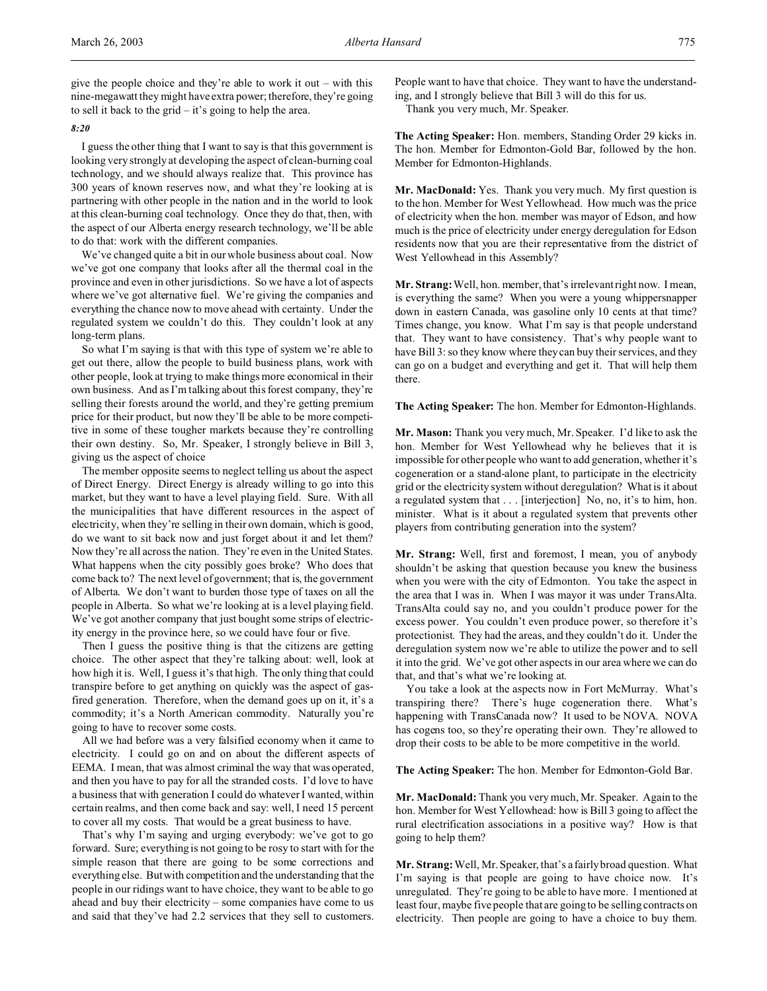give the people choice and they're able to work it out – with this nine-megawatt they might have extra power; therefore, they're going to sell it back to the grid – it's going to help the area.

## *8:20*

I guess the other thing that I want to say is that this government is looking very strongly at developing the aspect of clean-burning coal technology, and we should always realize that. This province has 300 years of known reserves now, and what they're looking at is partnering with other people in the nation and in the world to look at this clean-burning coal technology. Once they do that, then, with the aspect of our Alberta energy research technology, we'll be able to do that: work with the different companies.

We've changed quite a bit in our whole business about coal. Now we've got one company that looks after all the thermal coal in the province and even in other jurisdictions. So we have a lot of aspects where we've got alternative fuel. We're giving the companies and everything the chance now to move ahead with certainty. Under the regulated system we couldn't do this. They couldn't look at any long-term plans.

So what I'm saying is that with this type of system we're able to get out there, allow the people to build business plans, work with other people, look at trying to make things more economical in their own business. And as I'm talking about this forest company, they're selling their forests around the world, and they're getting premium price for their product, but now they'll be able to be more competitive in some of these tougher markets because they're controlling their own destiny. So, Mr. Speaker, I strongly believe in Bill 3, giving us the aspect of choice

The member opposite seems to neglect telling us about the aspect of Direct Energy. Direct Energy is already willing to go into this market, but they want to have a level playing field. Sure. With all the municipalities that have different resources in the aspect of electricity, when they're selling in their own domain, which is good, do we want to sit back now and just forget about it and let them? Now they're all across the nation. They're even in the United States. What happens when the city possibly goes broke? Who does that come back to? The next level of government; that is, the government of Alberta. We don't want to burden those type of taxes on all the people in Alberta. So what we're looking at is a level playing field. We've got another company that just bought some strips of electricity energy in the province here, so we could have four or five.

Then I guess the positive thing is that the citizens are getting choice. The other aspect that they're talking about: well, look at how high it is. Well, I guess it's that high. The only thing that could transpire before to get anything on quickly was the aspect of gasfired generation. Therefore, when the demand goes up on it, it's a commodity; it's a North American commodity. Naturally you're going to have to recover some costs.

All we had before was a very falsified economy when it came to electricity. I could go on and on about the different aspects of EEMA. I mean, that was almost criminal the way that was operated, and then you have to pay for all the stranded costs. I'd love to have a business that with generation I could do whatever I wanted, within certain realms, and then come back and say: well, I need 15 percent to cover all my costs. That would be a great business to have.

That's why I'm saying and urging everybody: we've got to go forward. Sure; everything is not going to be rosy to start with for the simple reason that there are going to be some corrections and everything else. But with competition and the understanding that the people in our ridings want to have choice, they want to be able to go ahead and buy their electricity – some companies have come to us and said that they've had 2.2 services that they sell to customers.

People want to have that choice. They want to have the understanding, and I strongly believe that Bill 3 will do this for us. Thank you very much, Mr. Speaker.

**The Acting Speaker:** Hon. members, Standing Order 29 kicks in. The hon. Member for Edmonton-Gold Bar, followed by the hon. Member for Edmonton-Highlands.

**Mr. MacDonald:** Yes. Thank you very much. My first question is to the hon. Member for West Yellowhead. How much was the price of electricity when the hon. member was mayor of Edson, and how much is the price of electricity under energy deregulation for Edson residents now that you are their representative from the district of West Yellowhead in this Assembly?

**Mr. Strang:**Well, hon. member, that's irrelevant right now. I mean, is everything the same? When you were a young whippersnapper down in eastern Canada, was gasoline only 10 cents at that time? Times change, you know. What I'm say is that people understand that. They want to have consistency. That's why people want to have Bill 3: so they know where they can buy their services, and they can go on a budget and everything and get it. That will help them there.

**The Acting Speaker:** The hon. Member for Edmonton-Highlands.

**Mr. Mason:** Thank you very much, Mr. Speaker. I'd like to ask the hon. Member for West Yellowhead why he believes that it is impossible for other people who want to add generation, whether it's cogeneration or a stand-alone plant, to participate in the electricity grid or the electricity system without deregulation? What is it about a regulated system that . . . [interjection] No, no, it's to him, hon. minister. What is it about a regulated system that prevents other players from contributing generation into the system?

**Mr. Strang:** Well, first and foremost, I mean, you of anybody shouldn't be asking that question because you knew the business when you were with the city of Edmonton. You take the aspect in the area that I was in. When I was mayor it was under TransAlta. TransAlta could say no, and you couldn't produce power for the excess power. You couldn't even produce power, so therefore it's protectionist. They had the areas, and they couldn't do it. Under the deregulation system now we're able to utilize the power and to sell it into the grid. We've got other aspects in our area where we can do that, and that's what we're looking at.

You take a look at the aspects now in Fort McMurray. What's transpiring there? There's huge cogeneration there. What's happening with TransCanada now? It used to be NOVA. NOVA has cogens too, so they're operating their own. They're allowed to drop their costs to be able to be more competitive in the world.

**The Acting Speaker:** The hon. Member for Edmonton-Gold Bar.

**Mr. MacDonald:** Thank you very much, Mr. Speaker. Again to the hon. Member for West Yellowhead: how is Bill 3 going to affect the rural electrification associations in a positive way? How is that going to help them?

**Mr. Strang:**Well, Mr. Speaker, that's a fairly broad question. What I'm saying is that people are going to have choice now. It's unregulated. They're going to be able to have more. I mentioned at least four, maybe five people that are going to be selling contracts on electricity. Then people are going to have a choice to buy them.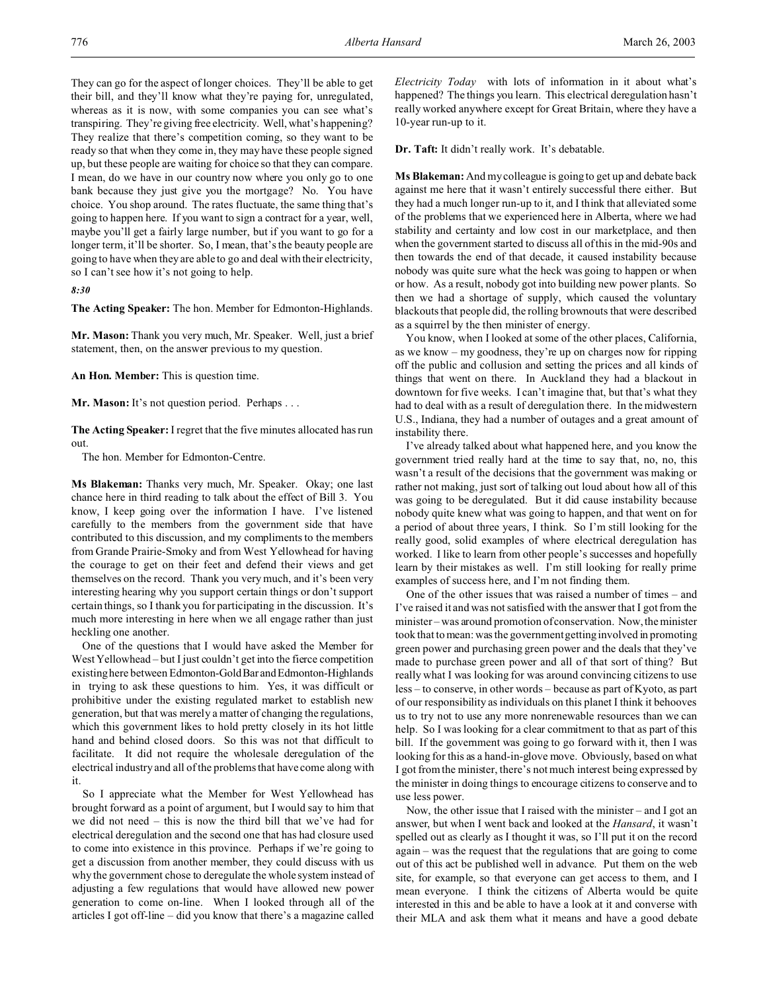They can go for the aspect of longer choices. They'll be able to get their bill, and they'll know what they're paying for, unregulated, whereas as it is now, with some companies you can see what's transpiring. They're giving free electricity. Well, what's happening? They realize that there's competition coming, so they want to be ready so that when they come in, they may have these people signed up, but these people are waiting for choice so that they can compare. I mean, do we have in our country now where you only go to one bank because they just give you the mortgage? No. You have choice. You shop around. The rates fluctuate, the same thing that's going to happen here. If you want to sign a contract for a year, well, maybe you'll get a fairly large number, but if you want to go for a longer term, it'll be shorter. So, I mean, that's the beauty people are going to have when they are able to go and deal with their electricity, so I can't see how it's not going to help.

*8:30*

**The Acting Speaker:** The hon. Member for Edmonton-Highlands.

**Mr. Mason:** Thank you very much, Mr. Speaker. Well, just a brief statement, then, on the answer previous to my question.

**An Hon. Member:** This is question time.

**Mr. Mason:** It's not question period. Perhaps . . .

**The Acting Speaker:** I regret that the five minutes allocated has run out.

The hon. Member for Edmonton-Centre.

**Ms Blakeman:** Thanks very much, Mr. Speaker. Okay; one last chance here in third reading to talk about the effect of Bill 3. You know, I keep going over the information I have. I've listened carefully to the members from the government side that have contributed to this discussion, and my compliments to the members from Grande Prairie-Smoky and from West Yellowhead for having the courage to get on their feet and defend their views and get themselves on the record. Thank you very much, and it's been very interesting hearing why you support certain things or don't support certain things, so I thank you for participating in the discussion. It's much more interesting in here when we all engage rather than just heckling one another.

One of the questions that I would have asked the Member for West Yellowhead – but I just couldn't get into the fierce competition existing here between Edmonton-Gold Bar and Edmonton-Highlands in trying to ask these questions to him. Yes, it was difficult or prohibitive under the existing regulated market to establish new generation, but that was merely a matter of changing the regulations, which this government likes to hold pretty closely in its hot little hand and behind closed doors. So this was not that difficult to facilitate. It did not require the wholesale deregulation of the electrical industry and all of the problems that have come along with it.

So I appreciate what the Member for West Yellowhead has brought forward as a point of argument, but I would say to him that we did not need – this is now the third bill that we've had for electrical deregulation and the second one that has had closure used to come into existence in this province. Perhaps if we're going to get a discussion from another member, they could discuss with us why the government chose to deregulate the whole system instead of adjusting a few regulations that would have allowed new power generation to come on-line. When I looked through all of the articles I got off-line – did you know that there's a magazine called *Electricity Today* with lots of information in it about what's happened? The things you learn. This electrical deregulation hasn't really worked anywhere except for Great Britain, where they have a 10-year run-up to it.

**Dr. Taft:** It didn't really work. It's debatable.

**Ms Blakeman:** And my colleague is going to get up and debate back against me here that it wasn't entirely successful there either. But they had a much longer run-up to it, and I think that alleviated some of the problems that we experienced here in Alberta, where we had stability and certainty and low cost in our marketplace, and then when the government started to discuss all of this in the mid-90s and then towards the end of that decade, it caused instability because nobody was quite sure what the heck was going to happen or when or how. As a result, nobody got into building new power plants. So then we had a shortage of supply, which caused the voluntary blackouts that people did, the rolling brownouts that were described as a squirrel by the then minister of energy.

You know, when I looked at some of the other places, California, as we know – my goodness, they're up on charges now for ripping off the public and collusion and setting the prices and all kinds of things that went on there. In Auckland they had a blackout in downtown for five weeks. I can't imagine that, but that's what they had to deal with as a result of deregulation there. In the midwestern U.S., Indiana, they had a number of outages and a great amount of instability there.

I've already talked about what happened here, and you know the government tried really hard at the time to say that, no, no, this wasn't a result of the decisions that the government was making or rather not making, just sort of talking out loud about how all of this was going to be deregulated. But it did cause instability because nobody quite knew what was going to happen, and that went on for a period of about three years, I think. So I'm still looking for the really good, solid examples of where electrical deregulation has worked. I like to learn from other people's successes and hopefully learn by their mistakes as well. I'm still looking for really prime examples of success here, and I'm not finding them.

One of the other issues that was raised a number of times – and I've raised it and was not satisfied with the answer that I got from the minister – was around promotion of conservation. Now, the minister took that to mean: was the government getting involved in promoting green power and purchasing green power and the deals that they've made to purchase green power and all of that sort of thing? But really what I was looking for was around convincing citizens to use less – to conserve, in other words – because as part of Kyoto, as part of our responsibility as individuals on this planet I think it behooves us to try not to use any more nonrenewable resources than we can help. So I was looking for a clear commitment to that as part of this bill. If the government was going to go forward with it, then I was looking for this as a hand-in-glove move. Obviously, based on what I got from the minister, there's not much interest being expressed by the minister in doing things to encourage citizens to conserve and to use less power.

Now, the other issue that I raised with the minister – and I got an answer, but when I went back and looked at the *Hansard*, it wasn't spelled out as clearly as I thought it was, so I'll put it on the record again – was the request that the regulations that are going to come out of this act be published well in advance. Put them on the web site, for example, so that everyone can get access to them, and I mean everyone. I think the citizens of Alberta would be quite interested in this and be able to have a look at it and converse with their MLA and ask them what it means and have a good debate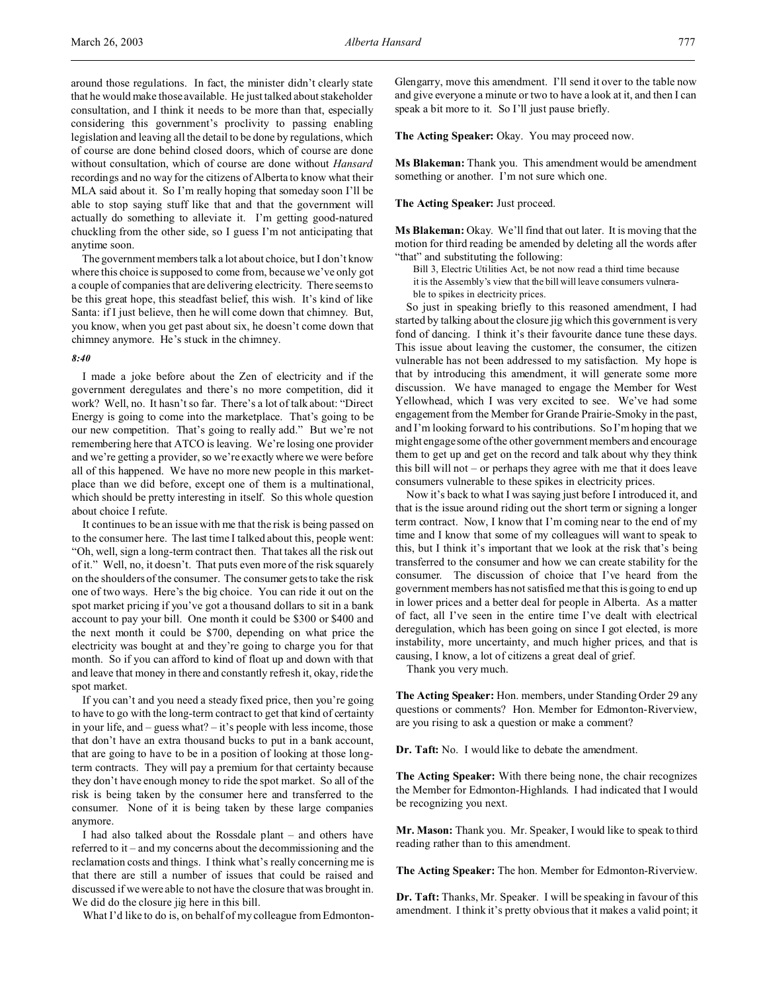around those regulations. In fact, the minister didn't clearly state that he would make those available. He just talked about stakeholder consultation, and I think it needs to be more than that, especially considering this government's proclivity to passing enabling legislation and leaving all the detail to be done by regulations, which of course are done behind closed doors, which of course are done without consultation, which of course are done without *Hansard* recordings and no way for the citizens of Alberta to know what their MLA said about it. So I'm really hoping that someday soon I'll be able to stop saying stuff like that and that the government will actually do something to alleviate it. I'm getting good-natured chuckling from the other side, so I guess I'm not anticipating that anytime soon.

The government members talk a lot about choice, but I don't know where this choice is supposed to come from, because we've only got a couple of companies that are delivering electricity. There seems to be this great hope, this steadfast belief, this wish. It's kind of like Santa: if I just believe, then he will come down that chimney. But, you know, when you get past about six, he doesn't come down that chimney anymore. He's stuck in the chimney.

## *8:40*

I made a joke before about the Zen of electricity and if the government deregulates and there's no more competition, did it work? Well, no. It hasn't so far. There's a lot of talk about: "Direct Energy is going to come into the marketplace. That's going to be our new competition. That's going to really add." But we're not remembering here that ATCO is leaving. We're losing one provider and we're getting a provider, so we're exactly where we were before all of this happened. We have no more new people in this marketplace than we did before, except one of them is a multinational, which should be pretty interesting in itself. So this whole question about choice I refute.

It continues to be an issue with me that the risk is being passed on to the consumer here. The last time I talked about this, people went: "Oh, well, sign a long-term contract then. That takes all the risk out of it." Well, no, it doesn't. That puts even more of the risk squarely on the shoulders of the consumer. The consumer gets to take the risk one of two ways. Here's the big choice. You can ride it out on the spot market pricing if you've got a thousand dollars to sit in a bank account to pay your bill. One month it could be \$300 or \$400 and the next month it could be \$700, depending on what price the electricity was bought at and they're going to charge you for that month. So if you can afford to kind of float up and down with that and leave that money in there and constantly refresh it, okay, ride the spot market.

If you can't and you need a steady fixed price, then you're going to have to go with the long-term contract to get that kind of certainty in your life, and – guess what? – it's people with less income, those that don't have an extra thousand bucks to put in a bank account, that are going to have to be in a position of looking at those longterm contracts. They will pay a premium for that certainty because they don't have enough money to ride the spot market. So all of the risk is being taken by the consumer here and transferred to the consumer. None of it is being taken by these large companies anymore.

I had also talked about the Rossdale plant – and others have referred to it – and my concerns about the decommissioning and the reclamation costs and things. I think what's really concerning me is that there are still a number of issues that could be raised and discussed if we were able to not have the closure that was brought in. We did do the closure jig here in this bill.

What I'd like to do is, on behalf of my colleague from Edmonton-

Glengarry, move this amendment. I'll send it over to the table now and give everyone a minute or two to have a look at it, and then I can speak a bit more to it. So I'll just pause briefly.

**The Acting Speaker:** Okay. You may proceed now.

**Ms Blakeman:** Thank you. This amendment would be amendment something or another. I'm not sure which one.

# **The Acting Speaker:** Just proceed.

**Ms Blakeman:** Okay. We'll find that out later. It is moving that the motion for third reading be amended by deleting all the words after "that" and substituting the following:

Bill 3, Electric Utilities Act, be not now read a third time because it is the Assembly's view that the bill will leave consumers vulnerable to spikes in electricity prices.

So just in speaking briefly to this reasoned amendment, I had started by talking about the closure jig which this government is very fond of dancing. I think it's their favourite dance tune these days. This issue about leaving the customer, the consumer, the citizen vulnerable has not been addressed to my satisfaction. My hope is that by introducing this amendment, it will generate some more discussion. We have managed to engage the Member for West Yellowhead, which I was very excited to see. We've had some engagement from the Member for Grande Prairie-Smoky in the past, and I'm looking forward to his contributions. So I'm hoping that we might engage some of the other government members and encourage them to get up and get on the record and talk about why they think this bill will not – or perhaps they agree with me that it does leave consumers vulnerable to these spikes in electricity prices.

Now it's back to what I was saying just before I introduced it, and that is the issue around riding out the short term or signing a longer term contract. Now, I know that I'm coming near to the end of my time and I know that some of my colleagues will want to speak to this, but I think it's important that we look at the risk that's being transferred to the consumer and how we can create stability for the consumer. The discussion of choice that I've heard from the government members has not satisfied me that this is going to end up in lower prices and a better deal for people in Alberta. As a matter of fact, all I've seen in the entire time I've dealt with electrical deregulation, which has been going on since I got elected, is more instability, more uncertainty, and much higher prices, and that is causing, I know, a lot of citizens a great deal of grief.

Thank you very much.

**The Acting Speaker:** Hon. members, under Standing Order 29 any questions or comments? Hon. Member for Edmonton-Riverview, are you rising to ask a question or make a comment?

**Dr. Taft:** No. I would like to debate the amendment.

**The Acting Speaker:** With there being none, the chair recognizes the Member for Edmonton-Highlands. I had indicated that I would be recognizing you next.

**Mr. Mason:** Thank you. Mr. Speaker, I would like to speak to third reading rather than to this amendment.

**The Acting Speaker:** The hon. Member for Edmonton-Riverview.

**Dr. Taft:** Thanks, Mr. Speaker. I will be speaking in favour of this amendment. I think it's pretty obvious that it makes a valid point; it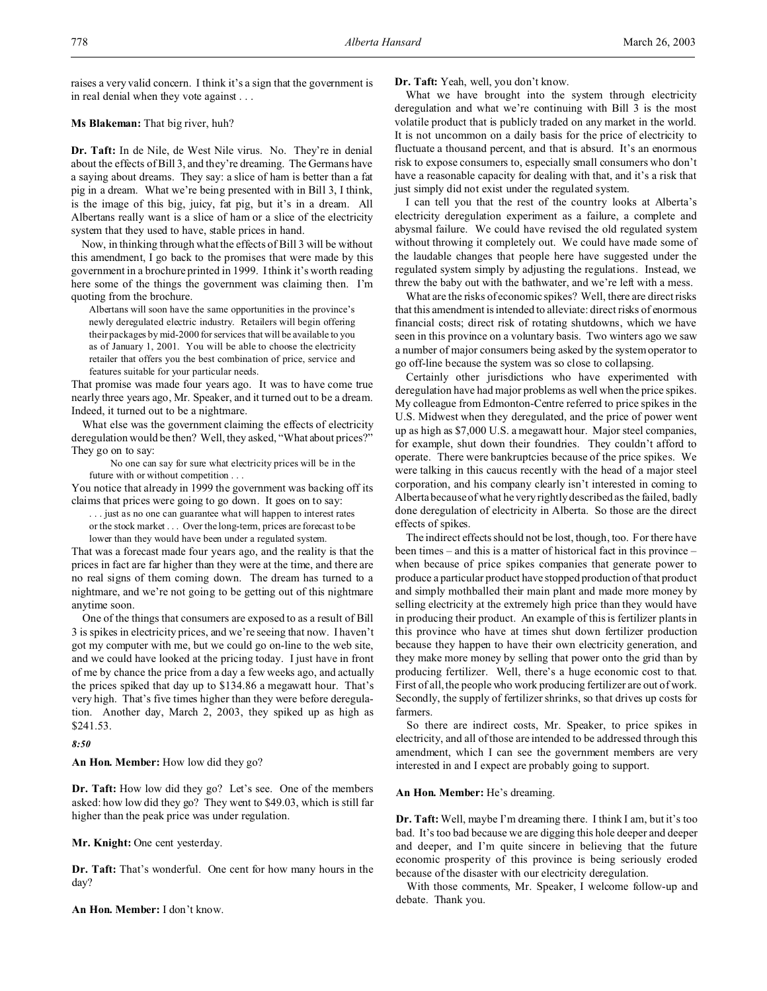raises a very valid concern. I think it's a sign that the government is in real denial when they vote against . . .

# **Ms Blakeman:** That big river, huh?

**Dr. Taft:** In de Nile, de West Nile virus. No. They're in denial about the effects of Bill 3, and they're dreaming. The Germans have a saying about dreams. They say: a slice of ham is better than a fat pig in a dream. What we're being presented with in Bill 3, I think, is the image of this big, juicy, fat pig, but it's in a dream. All Albertans really want is a slice of ham or a slice of the electricity system that they used to have, stable prices in hand.

Now, in thinking through what the effects of Bill 3 will be without this amendment, I go back to the promises that were made by this government in a brochure printed in 1999. I think it's worth reading here some of the things the government was claiming then. I'm quoting from the brochure.

Albertans will soon have the same opportunities in the province's newly deregulated electric industry. Retailers will begin offering their packages by mid-2000 for services that will be available to you as of January 1, 2001. You will be able to choose the electricity retailer that offers you the best combination of price, service and features suitable for your particular needs.

That promise was made four years ago. It was to have come true nearly three years ago, Mr. Speaker, and it turned out to be a dream. Indeed, it turned out to be a nightmare.

What else was the government claiming the effects of electricity deregulation would be then? Well, they asked, "What about prices?" They go on to say:

No one can say for sure what electricity prices will be in the future with or without competition . . .

You notice that already in 1999 the government was backing off its claims that prices were going to go down. It goes on to say:

. . . just as no one can guarantee what will happen to interest rates or the stock market . . . Over the long-term, prices are forecast to be lower than they would have been under a regulated system.

That was a forecast made four years ago, and the reality is that the prices in fact are far higher than they were at the time, and there are no real signs of them coming down. The dream has turned to a nightmare, and we're not going to be getting out of this nightmare anytime soon.

One of the things that consumers are exposed to as a result of Bill 3 is spikes in electricity prices, and we're seeing that now. I haven't got my computer with me, but we could go on-line to the web site, and we could have looked at the pricing today. I just have in front of me by chance the price from a day a few weeks ago, and actually the prices spiked that day up to \$134.86 a megawatt hour. That's very high. That's five times higher than they were before deregulation. Another day, March 2, 2003, they spiked up as high as \$241.53.

## *8:50*

**An Hon. Member:** How low did they go?

**Dr. Taft:** How low did they go? Let's see. One of the members asked: how low did they go? They went to \$49.03, which is still far higher than the peak price was under regulation.

#### **Mr. Knight:** One cent yesterday.

**Dr. Taft:** That's wonderful. One cent for how many hours in the day?

**An Hon. Member:** I don't know.

**Dr. Taft:** Yeah, well, you don't know.

What we have brought into the system through electricity deregulation and what we're continuing with Bill 3 is the most volatile product that is publicly traded on any market in the world. It is not uncommon on a daily basis for the price of electricity to fluctuate a thousand percent, and that is absurd. It's an enormous risk to expose consumers to, especially small consumers who don't have a reasonable capacity for dealing with that, and it's a risk that just simply did not exist under the regulated system.

I can tell you that the rest of the country looks at Alberta's electricity deregulation experiment as a failure, a complete and abysmal failure. We could have revised the old regulated system without throwing it completely out. We could have made some of the laudable changes that people here have suggested under the regulated system simply by adjusting the regulations. Instead, we threw the baby out with the bathwater, and we're left with a mess.

What are the risks of economic spikes? Well, there are direct risks that this amendment is intended to alleviate: direct risks of enormous financial costs; direct risk of rotating shutdowns, which we have seen in this province on a voluntary basis. Two winters ago we saw a number of major consumers being asked by the system operator to go off-line because the system was so close to collapsing.

Certainly other jurisdictions who have experimented with deregulation have had major problems as well when the price spikes. My colleague from Edmonton-Centre referred to price spikes in the U.S. Midwest when they deregulated, and the price of power went up as high as \$7,000 U.S. a megawatt hour. Major steel companies, for example, shut down their foundries. They couldn't afford to operate. There were bankruptcies because of the price spikes. We were talking in this caucus recently with the head of a major steel corporation, and his company clearly isn't interested in coming to Alberta because of what he very rightly described as the failed, badly done deregulation of electricity in Alberta. So those are the direct effects of spikes.

The indirect effects should not be lost, though, too. For there have been times – and this is a matter of historical fact in this province – when because of price spikes companies that generate power to produce a particular product have stopped production of that product and simply mothballed their main plant and made more money by selling electricity at the extremely high price than they would have in producing their product. An example of this is fertilizer plants in this province who have at times shut down fertilizer production because they happen to have their own electricity generation, and they make more money by selling that power onto the grid than by producing fertilizer. Well, there's a huge economic cost to that. First of all, the people who work producing fertilizer are out of work. Secondly, the supply of fertilizer shrinks, so that drives up costs for farmers.

So there are indirect costs, Mr. Speaker, to price spikes in electricity, and all of those are intended to be addressed through this amendment, which I can see the government members are very interested in and I expect are probably going to support.

## **An Hon. Member:** He's dreaming.

**Dr. Taft:** Well, maybe I'm dreaming there. I think I am, but it's too bad. It's too bad because we are digging this hole deeper and deeper and deeper, and I'm quite sincere in believing that the future economic prosperity of this province is being seriously eroded because of the disaster with our electricity deregulation.

With those comments, Mr. Speaker, I welcome follow-up and debate. Thank you.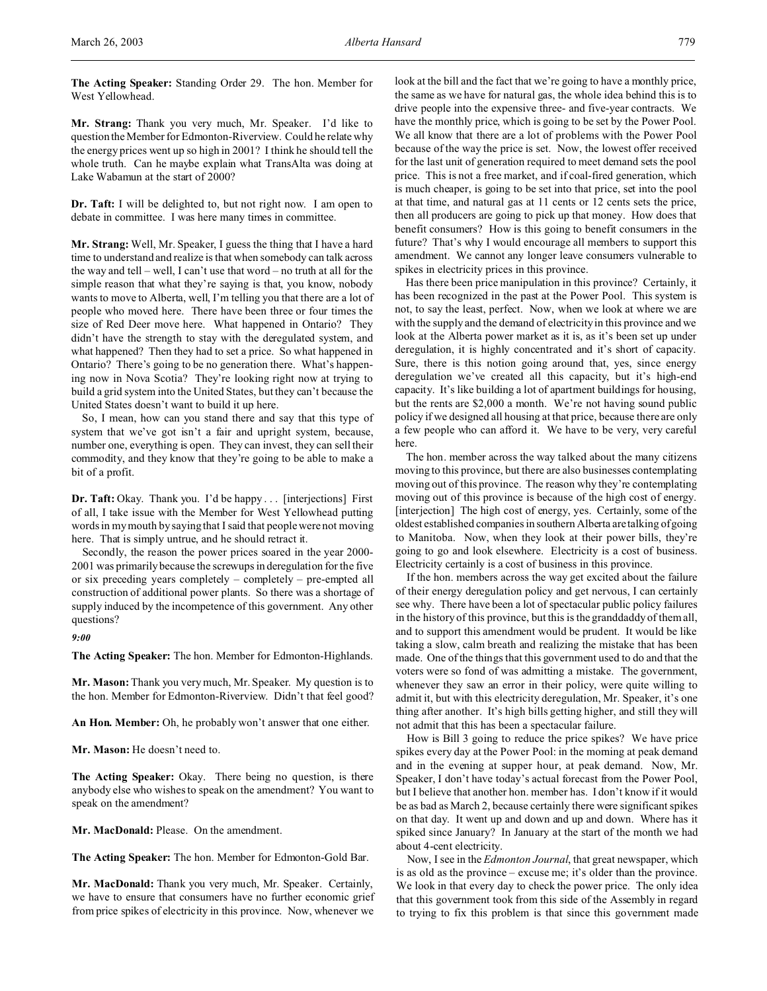**The Acting Speaker:** Standing Order 29. The hon. Member for West Yellowhead.

**Mr. Strang:** Thank you very much, Mr. Speaker. I'd like to question the Member for Edmonton-Riverview. Could he relate why the energy prices went up so high in 2001? I think he should tell the whole truth. Can he maybe explain what TransAlta was doing at Lake Wabamun at the start of 2000?

**Dr. Taft:** I will be delighted to, but not right now. I am open to debate in committee. I was here many times in committee.

**Mr. Strang:** Well, Mr. Speaker, I guess the thing that I have a hard time to understand and realize is that when somebody can talk across the way and tell – well, I can't use that word – no truth at all for the simple reason that what they're saying is that, you know, nobody wants to move to Alberta, well, I'm telling you that there are a lot of people who moved here. There have been three or four times the size of Red Deer move here. What happened in Ontario? They didn't have the strength to stay with the deregulated system, and what happened? Then they had to set a price. So what happened in Ontario? There's going to be no generation there. What's happening now in Nova Scotia? They're looking right now at trying to build a grid system into the United States, but they can't because the United States doesn't want to build it up here.

So, I mean, how can you stand there and say that this type of system that we've got isn't a fair and upright system, because, number one, everything is open. They can invest, they can sell their commodity, and they know that they're going to be able to make a bit of a profit.

**Dr. Taft:** Okay. Thank you. I'd be happy . . . [interjections] First of all, I take issue with the Member for West Yellowhead putting words in my mouth by saying that I said that people were not moving here. That is simply untrue, and he should retract it.

Secondly, the reason the power prices soared in the year 2000- 2001 was primarily because the screwups in deregulation for the five or six preceding years completely – completely – pre-empted all construction of additional power plants. So there was a shortage of supply induced by the incompetence of this government. Any other questions?

*9:00*

**The Acting Speaker:** The hon. Member for Edmonton-Highlands.

**Mr. Mason:** Thank you very much, Mr. Speaker. My question is to the hon. Member for Edmonton-Riverview. Didn't that feel good?

**An Hon. Member:** Oh, he probably won't answer that one either.

**Mr. Mason:** He doesn't need to.

**The Acting Speaker:** Okay. There being no question, is there anybody else who wishes to speak on the amendment? You want to speak on the amendment?

**Mr. MacDonald:** Please. On the amendment.

**The Acting Speaker:** The hon. Member for Edmonton-Gold Bar.

**Mr. MacDonald:** Thank you very much, Mr. Speaker. Certainly, we have to ensure that consumers have no further economic grief from price spikes of electricity in this province. Now, whenever we look at the bill and the fact that we're going to have a monthly price, the same as we have for natural gas, the whole idea behind this is to drive people into the expensive three- and five-year contracts. We have the monthly price, which is going to be set by the Power Pool. We all know that there are a lot of problems with the Power Pool because of the way the price is set. Now, the lowest offer received for the last unit of generation required to meet demand sets the pool price. This is not a free market, and if coal-fired generation, which is much cheaper, is going to be set into that price, set into the pool at that time, and natural gas at 11 cents or 12 cents sets the price, then all producers are going to pick up that money. How does that benefit consumers? How is this going to benefit consumers in the future? That's why I would encourage all members to support this amendment. We cannot any longer leave consumers vulnerable to spikes in electricity prices in this province.

Has there been price manipulation in this province? Certainly, it has been recognized in the past at the Power Pool. This system is not, to say the least, perfect. Now, when we look at where we are with the supply and the demand of electricity in this province and we look at the Alberta power market as it is, as it's been set up under deregulation, it is highly concentrated and it's short of capacity. Sure, there is this notion going around that, yes, since energy deregulation we've created all this capacity, but it's high-end capacity. It's like building a lot of apartment buildings for housing, but the rents are \$2,000 a month. We're not having sound public policy if we designed all housing at that price, because there are only a few people who can afford it. We have to be very, very careful here.

The hon. member across the way talked about the many citizens moving to this province, but there are also businesses contemplating moving out of this province. The reason why they're contemplating moving out of this province is because of the high cost of energy. [interjection] The high cost of energy, yes. Certainly, some of the oldest established companies in southern Alberta are talking of going to Manitoba. Now, when they look at their power bills, they're going to go and look elsewhere. Electricity is a cost of business. Electricity certainly is a cost of business in this province.

If the hon. members across the way get excited about the failure of their energy deregulation policy and get nervous, I can certainly see why. There have been a lot of spectacular public policy failures in the history of this province, but this is the granddaddy of them all, and to support this amendment would be prudent. It would be like taking a slow, calm breath and realizing the mistake that has been made. One of the things that this government used to do and that the voters were so fond of was admitting a mistake. The government, whenever they saw an error in their policy, were quite willing to admit it, but with this electricity deregulation, Mr. Speaker, it's one thing after another. It's high bills getting higher, and still they will not admit that this has been a spectacular failure.

How is Bill 3 going to reduce the price spikes? We have price spikes every day at the Power Pool: in the morning at peak demand and in the evening at supper hour, at peak demand. Now, Mr. Speaker, I don't have today's actual forecast from the Power Pool, but I believe that another hon. member has. I don't know if it would be as bad as March 2, because certainly there were significant spikes on that day. It went up and down and up and down. Where has it spiked since January? In January at the start of the month we had about 4-cent electricity.

Now, I see in the *Edmonton Journal*, that great newspaper, which is as old as the province – excuse me; it's older than the province. We look in that every day to check the power price. The only idea that this government took from this side of the Assembly in regard to trying to fix this problem is that since this government made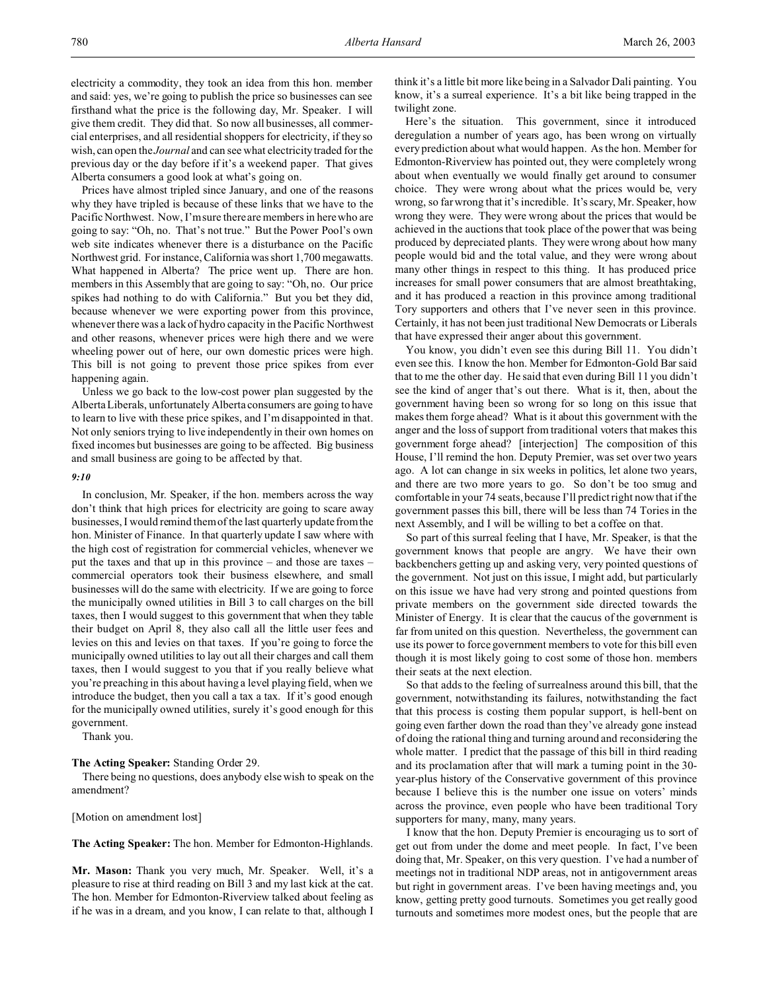Prices have almost tripled since January, and one of the reasons why they have tripled is because of these links that we have to the Pacific Northwest. Now, I'm sure there are members in here who are going to say: "Oh, no. That's not true." But the Power Pool's own web site indicates whenever there is a disturbance on the Pacific Northwest grid. For instance, California was short 1,700 megawatts. What happened in Alberta? The price went up. There are hon. members in this Assembly that are going to say: "Oh, no. Our price spikes had nothing to do with California." But you bet they did, because whenever we were exporting power from this province, whenever there was a lack of hydro capacity in the Pacific Northwest and other reasons, whenever prices were high there and we were wheeling power out of here, our own domestic prices were high. This bill is not going to prevent those price spikes from ever happening again.

Unless we go back to the low-cost power plan suggested by the Alberta Liberals, unfortunately Alberta consumers are going to have to learn to live with these price spikes, and I'm disappointed in that. Not only seniors trying to live independently in their own homes on fixed incomes but businesses are going to be affected. Big business and small business are going to be affected by that.

### *9:10*

In conclusion, Mr. Speaker, if the hon. members across the way don't think that high prices for electricity are going to scare away businesses, I would remind them of the last quarterly update from the hon. Minister of Finance. In that quarterly update I saw where with the high cost of registration for commercial vehicles, whenever we put the taxes and that up in this province – and those are taxes – commercial operators took their business elsewhere, and small businesses will do the same with electricity. If we are going to force the municipally owned utilities in Bill 3 to call charges on the bill taxes, then I would suggest to this government that when they table their budget on April 8, they also call all the little user fees and levies on this and levies on that taxes. If you're going to force the municipally owned utilities to lay out all their charges and call them taxes, then I would suggest to you that if you really believe what you're preaching in this about having a level playing field, when we introduce the budget, then you call a tax a tax. If it's good enough for the municipally owned utilities, surely it's good enough for this government.

Thank you.

### **The Acting Speaker:** Standing Order 29.

There being no questions, does anybody else wish to speak on the amendment?

[Motion on amendment lost]

**The Acting Speaker:** The hon. Member for Edmonton-Highlands.

**Mr. Mason:** Thank you very much, Mr. Speaker. Well, it's a pleasure to rise at third reading on Bill 3 and my last kick at the cat. The hon. Member for Edmonton-Riverview talked about feeling as if he was in a dream, and you know, I can relate to that, although I think it's a little bit more like being in a Salvador Dali painting. You know, it's a surreal experience. It's a bit like being trapped in the twilight zone.

Here's the situation. This government, since it introduced deregulation a number of years ago, has been wrong on virtually every prediction about what would happen. As the hon. Member for Edmonton-Riverview has pointed out, they were completely wrong about when eventually we would finally get around to consumer choice. They were wrong about what the prices would be, very wrong, so far wrong that it's incredible. It's scary, Mr. Speaker, how wrong they were. They were wrong about the prices that would be achieved in the auctions that took place of the power that was being produced by depreciated plants. They were wrong about how many people would bid and the total value, and they were wrong about many other things in respect to this thing. It has produced price increases for small power consumers that are almost breathtaking, and it has produced a reaction in this province among traditional Tory supporters and others that I've never seen in this province. Certainly, it has not been just traditional New Democrats or Liberals that have expressed their anger about this government.

You know, you didn't even see this during Bill 11. You didn't even see this. I know the hon. Member for Edmonton-Gold Bar said that to me the other day. He said that even during Bill 11 you didn't see the kind of anger that's out there. What is it, then, about the government having been so wrong for so long on this issue that makes them forge ahead? What is it about this government with the anger and the loss of support from traditional voters that makes this government forge ahead? [interjection] The composition of this House, I'll remind the hon. Deputy Premier, was set over two years ago. A lot can change in six weeks in politics, let alone two years, and there are two more years to go. So don't be too smug and comfortable in your 74 seats, because I'll predict right now that if the government passes this bill, there will be less than 74 Tories in the next Assembly, and I will be willing to bet a coffee on that.

So part of this surreal feeling that I have, Mr. Speaker, is that the government knows that people are angry. We have their own backbenchers getting up and asking very, very pointed questions of the government. Not just on this issue, I might add, but particularly on this issue we have had very strong and pointed questions from private members on the government side directed towards the Minister of Energy. It is clear that the caucus of the government is far from united on this question. Nevertheless, the government can use its power to force government members to vote for this bill even though it is most likely going to cost some of those hon. members their seats at the next election.

So that adds to the feeling of surrealness around this bill, that the government, notwithstanding its failures, notwithstanding the fact that this process is costing them popular support, is hell-bent on going even farther down the road than they've already gone instead of doing the rational thing and turning around and reconsidering the whole matter. I predict that the passage of this bill in third reading and its proclamation after that will mark a turning point in the 30 year-plus history of the Conservative government of this province because I believe this is the number one issue on voters' minds across the province, even people who have been traditional Tory supporters for many, many, many years.

I know that the hon. Deputy Premier is encouraging us to sort of get out from under the dome and meet people. In fact, I've been doing that, Mr. Speaker, on this very question. I've had a number of meetings not in traditional NDP areas, not in antigovernment areas but right in government areas. I've been having meetings and, you know, getting pretty good turnouts. Sometimes you get really good turnouts and sometimes more modest ones, but the people that are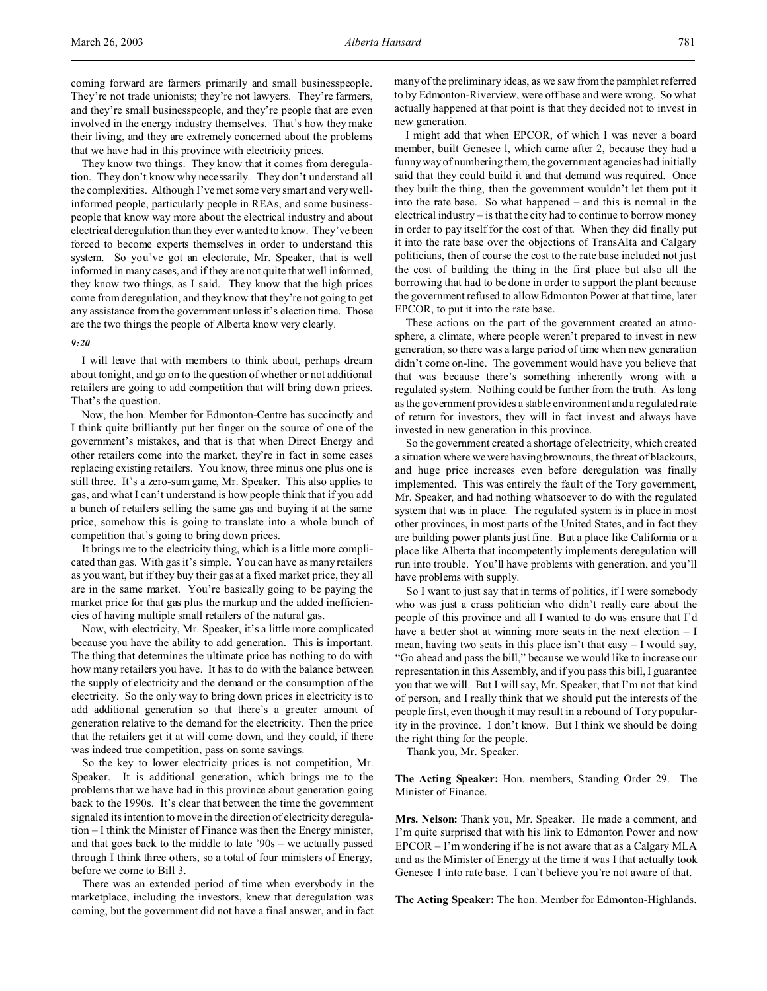coming forward are farmers primarily and small businesspeople. They're not trade unionists; they're not lawyers. They're farmers, and they're small businesspeople, and they're people that are even involved in the energy industry themselves. That's how they make their living, and they are extremely concerned about the problems that we have had in this province with electricity prices.

They know two things. They know that it comes from deregulation. They don't know why necessarily. They don't understand all the complexities. Although I've met some very smart and very wellinformed people, particularly people in REAs, and some businesspeople that know way more about the electrical industry and about electrical deregulation than they ever wanted to know. They've been forced to become experts themselves in order to understand this system. So you've got an electorate, Mr. Speaker, that is well informed in many cases, and if they are not quite that well informed, they know two things, as I said. They know that the high prices come from deregulation, and they know that they're not going to get any assistance from the government unless it's election time. Those are the two things the people of Alberta know very clearly.

#### *9:20*

I will leave that with members to think about, perhaps dream about tonight, and go on to the question of whether or not additional retailers are going to add competition that will bring down prices. That's the question.

Now, the hon. Member for Edmonton-Centre has succinctly and I think quite brilliantly put her finger on the source of one of the government's mistakes, and that is that when Direct Energy and other retailers come into the market, they're in fact in some cases replacing existing retailers. You know, three minus one plus one is still three. It's a zero-sum game, Mr. Speaker. This also applies to gas, and what I can't understand is how people think that if you add a bunch of retailers selling the same gas and buying it at the same price, somehow this is going to translate into a whole bunch of competition that's going to bring down prices.

It brings me to the electricity thing, which is a little more complicated than gas. With gas it's simple. You can have as many retailers as you want, but if they buy their gas at a fixed market price, they all are in the same market. You're basically going to be paying the market price for that gas plus the markup and the added inefficiencies of having multiple small retailers of the natural gas.

Now, with electricity, Mr. Speaker, it's a little more complicated because you have the ability to add generation. This is important. The thing that determines the ultimate price has nothing to do with how many retailers you have. It has to do with the balance between the supply of electricity and the demand or the consumption of the electricity. So the only way to bring down prices in electricity is to add additional generation so that there's a greater amount of generation relative to the demand for the electricity. Then the price that the retailers get it at will come down, and they could, if there was indeed true competition, pass on some savings.

So the key to lower electricity prices is not competition, Mr. Speaker. It is additional generation, which brings me to the problems that we have had in this province about generation going back to the 1990s. It's clear that between the time the government signaled its intention to move in the direction of electricity deregulation – I think the Minister of Finance was then the Energy minister, and that goes back to the middle to late '90s – we actually passed through I think three others, so a total of four ministers of Energy, before we come to Bill 3.

There was an extended period of time when everybody in the marketplace, including the investors, knew that deregulation was coming, but the government did not have a final answer, and in fact many of the preliminary ideas, as we saw from the pamphlet referred to by Edmonton-Riverview, were off base and were wrong. So what actually happened at that point is that they decided not to invest in new generation.

I might add that when EPCOR, of which I was never a board member, built Genesee l, which came after 2, because they had a funny way of numbering them, the government agencies had initially said that they could build it and that demand was required. Once they built the thing, then the government wouldn't let them put it into the rate base. So what happened – and this is normal in the electrical industry – is that the city had to continue to borrow money in order to pay itself for the cost of that. When they did finally put it into the rate base over the objections of TransAlta and Calgary politicians, then of course the cost to the rate base included not just the cost of building the thing in the first place but also all the borrowing that had to be done in order to support the plant because the government refused to allow Edmonton Power at that time, later EPCOR, to put it into the rate base.

These actions on the part of the government created an atmosphere, a climate, where people weren't prepared to invest in new generation, so there was a large period of time when new generation didn't come on-line. The government would have you believe that that was because there's something inherently wrong with a regulated system. Nothing could be further from the truth. As long as the government provides a stable environment and a regulated rate of return for investors, they will in fact invest and always have invested in new generation in this province.

So the government created a shortage of electricity, which created a situation where we were having brownouts, the threat of blackouts, and huge price increases even before deregulation was finally implemented. This was entirely the fault of the Tory government, Mr. Speaker, and had nothing whatsoever to do with the regulated system that was in place. The regulated system is in place in most other provinces, in most parts of the United States, and in fact they are building power plants just fine. But a place like California or a place like Alberta that incompetently implements deregulation will run into trouble. You'll have problems with generation, and you'll have problems with supply.

So I want to just say that in terms of politics, if I were somebody who was just a crass politician who didn't really care about the people of this province and all I wanted to do was ensure that I'd have a better shot at winning more seats in the next election - I mean, having two seats in this place isn't that easy – I would say, "Go ahead and pass the bill," because we would like to increase our representation in this Assembly, and if you pass this bill, I guarantee you that we will. But I will say, Mr. Speaker, that I'm not that kind of person, and I really think that we should put the interests of the people first, even though it may result in a rebound of Tory popularity in the province. I don't know. But I think we should be doing the right thing for the people.

Thank you, Mr. Speaker.

**The Acting Speaker:** Hon. members, Standing Order 29. The Minister of Finance.

**Mrs. Nelson:** Thank you, Mr. Speaker. He made a comment, and I'm quite surprised that with his link to Edmonton Power and now EPCOR – I'm wondering if he is not aware that as a Calgary MLA and as the Minister of Energy at the time it was I that actually took Genesee 1 into rate base. I can't believe you're not aware of that.

**The Acting Speaker:** The hon. Member for Edmonton-Highlands.